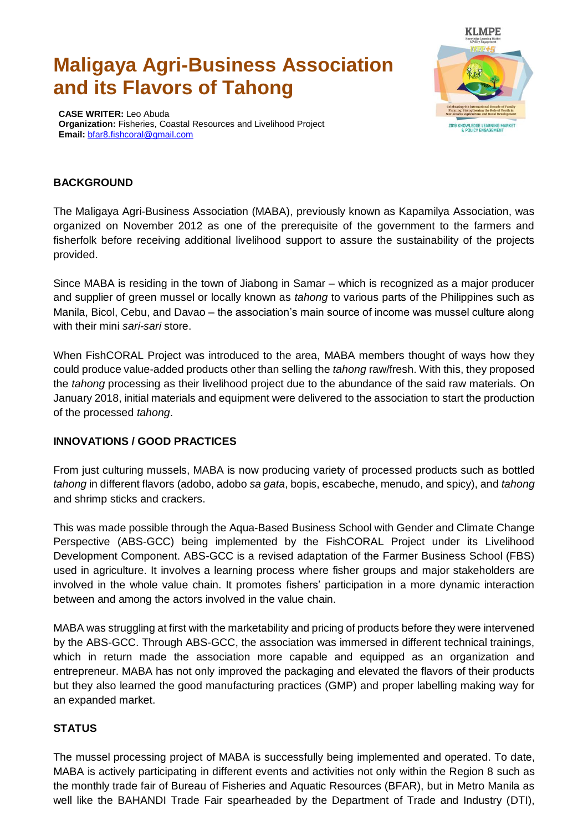# **Maligaya Agri-Business Association and its Flavors of Tahong**



**CASE WRITER:** Leo Abuda **Organization:** Fisheries, Coastal Resources and Livelihood Project **Email:** [bfar8.fishcoral@gmail.com](mailto:bfar8.fishcoral@gmail.com)

# **BACKGROUND**

The Maligaya Agri-Business Association (MABA), previously known as Kapamilya Association, was organized on November 2012 as one of the prerequisite of the government to the farmers and fisherfolk before receiving additional livelihood support to assure the sustainability of the projects provided.

Since MABA is residing in the town of Jiabong in Samar – which is recognized as a major producer and supplier of green mussel or locally known as *tahong* to various parts of the Philippines such as Manila, Bicol, Cebu, and Davao – the association's main source of income was mussel culture along with their mini *sari-sari* store.

When FishCORAL Project was introduced to the area, MABA members thought of ways how they could produce value-added products other than selling the *tahong* raw/fresh. With this, they proposed the *tahong* processing as their livelihood project due to the abundance of the said raw materials. On January 2018, initial materials and equipment were delivered to the association to start the production of the processed *tahong*.

### **INNOVATIONS / GOOD PRACTICES**

From just culturing mussels, MABA is now producing variety of processed products such as bottled *tahong* in different flavors (adobo, adobo *sa gata*, bopis, escabeche, menudo, and spicy), and *tahong* and shrimp sticks and crackers.

This was made possible through the Aqua-Based Business School with Gender and Climate Change Perspective (ABS-GCC) being implemented by the FishCORAL Project under its Livelihood Development Component. ABS-GCC is a revised adaptation of the Farmer Business School (FBS) used in agriculture. It involves a learning process where fisher groups and major stakeholders are involved in the whole value chain. It promotes fishers' participation in a more dynamic interaction between and among the actors involved in the value chain.

MABA was struggling at first with the marketability and pricing of products before they were intervened by the ABS-GCC. Through ABS-GCC, the association was immersed in different technical trainings, which in return made the association more capable and equipped as an organization and entrepreneur. MABA has not only improved the packaging and elevated the flavors of their products but they also learned the good manufacturing practices (GMP) and proper labelling making way for an expanded market.

### **STATUS**

The mussel processing project of MABA is successfully being implemented and operated. To date, MABA is actively participating in different events and activities not only within the Region 8 such as the monthly trade fair of Bureau of Fisheries and Aquatic Resources (BFAR), but in Metro Manila as well like the BAHANDI Trade Fair spearheaded by the Department of Trade and Industry (DTI),